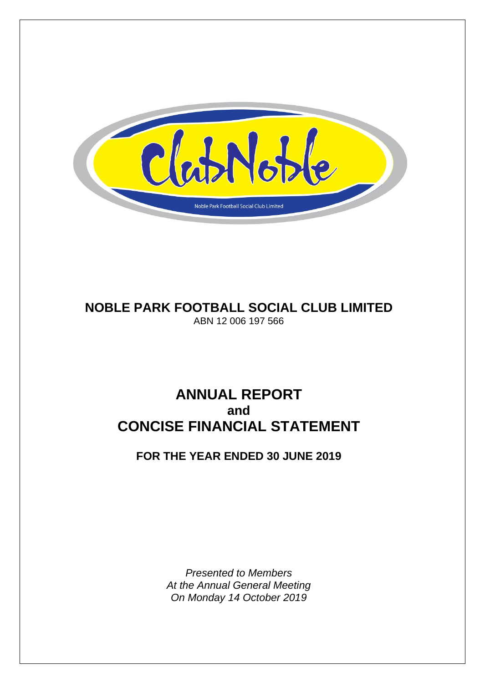

# **NOBLE PARK FOOTBALL SOCIAL CLUB LIMITED** ABN 12 006 197 566

# **ANNUAL REPORT and CONCISE FINANCIAL STATEMENT**

# **FOR THE YEAR ENDED 30 JUNE 2019**

*Presented to Members At the Annual General Meeting On Monday 14 October 2019*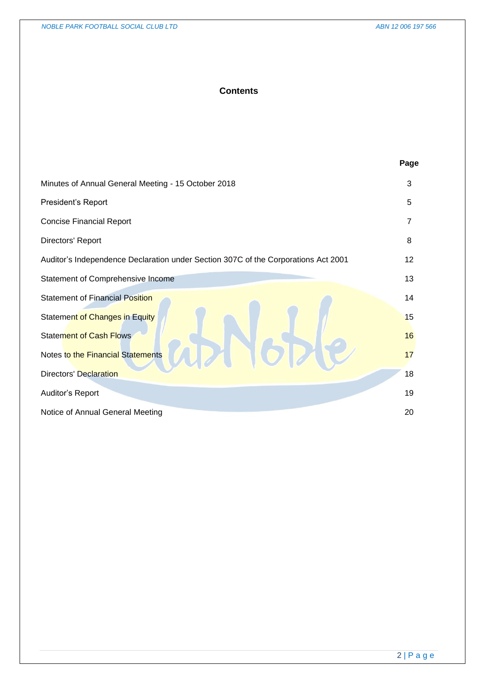# **Contents**

|                                                                                    | Page           |
|------------------------------------------------------------------------------------|----------------|
| Minutes of Annual General Meeting - 15 October 2018                                | 3              |
| President's Report                                                                 | 5              |
| <b>Concise Financial Report</b>                                                    | $\overline{7}$ |
| Directors' Report                                                                  | 8              |
| Auditor's Independence Declaration under Section 307C of the Corporations Act 2001 | 12             |
| Statement of Comprehensive Income                                                  | 13             |
| <b>Statement of Financial Position</b>                                             | 14             |
| Statement of Changes in Equity                                                     | 15             |
| <b>Statement of Cash Flows</b>                                                     | 16             |
| Notes to the Financial Statements                                                  | 17             |
| <b>Directors' Declaration</b>                                                      | 18             |
| Auditor's Report                                                                   | 19             |
| Notice of Annual General Meeting                                                   | 20             |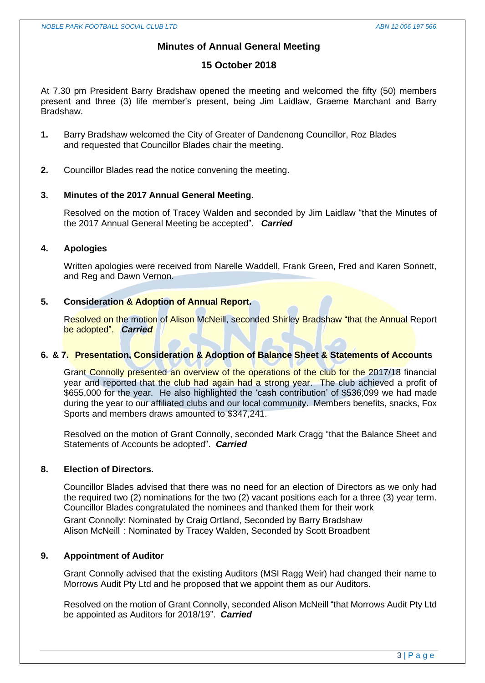# **Minutes of Annual General Meeting**

# **15 October 2018**

At 7.30 pm President Barry Bradshaw opened the meeting and welcomed the fifty (50) members present and three (3) life member's present, being Jim Laidlaw, Graeme Marchant and Barry Bradshaw.

- **1.** Barry Bradshaw welcomed the City of Greater of Dandenong Councillor, Roz Blades and requested that Councillor Blades chair the meeting.
- **2.** Councillor Blades read the notice convening the meeting.

## **3. Minutes of the 2017 Annual General Meeting.**

Resolved on the motion of Tracey Walden and seconded by Jim Laidlaw "that the Minutes of the 2017 Annual General Meeting be accepted". *Carried*

## **4. Apologies**

Written apologies were received from Narelle Waddell, Frank Green, Fred and Karen Sonnett, and Reg and Dawn Vernon.

# **5. Consideration & Adoption of Annual Report.**

Resolved on the motion of Alison McNeill, seconded Shirley Bradshaw "that the Annual Report be adopted". *Carried*

# **6. & 7. Presentation, Consideration & Adoption of Balance Sheet & Statements of Accounts**

Grant Connolly presented an overview of the operations of the club for the 2017/18 financial year and reported that the club had again had a strong year. The club achieved a profit of \$655,000 for the year. He also highlighted the 'cash contribution' of \$536,099 we had made during the year to our affiliated clubs and our local community. Members benefits, snacks, Fox Sports and members draws amounted to \$347,241.

Resolved on the motion of Grant Connolly, seconded Mark Cragg "that the Balance Sheet and Statements of Accounts be adopted". *Carried*

# **8. Election of Directors.**

Councillor Blades advised that there was no need for an election of Directors as we only had the required two (2) nominations for the two (2) vacant positions each for a three (3) year term. Councillor Blades congratulated the nominees and thanked them for their work Grant Connolly: Nominated by Craig Ortland, Seconded by Barry Bradshaw Alison McNeill : Nominated by Tracey Walden, Seconded by Scott Broadbent

# **9. Appointment of Auditor**

Grant Connolly advised that the existing Auditors (MSI Ragg Weir) had changed their name to Morrows Audit Pty Ltd and he proposed that we appoint them as our Auditors.

Resolved on the motion of Grant Connolly, seconded Alison McNeill "that Morrows Audit Pty Ltd be appointed as Auditors for 2018/19". *Carried*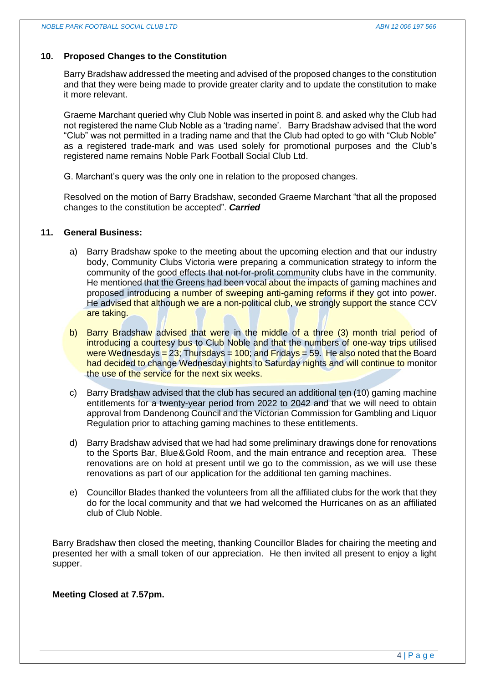# **10. Proposed Changes to the Constitution**

Barry Bradshaw addressed the meeting and advised of the proposed changes to the constitution and that they were being made to provide greater clarity and to update the constitution to make it more relevant.

Graeme Marchant queried why Club Noble was inserted in point 8. and asked why the Club had not registered the name Club Noble as a 'trading name'. Barry Bradshaw advised that the word "Club" was not permitted in a trading name and that the Club had opted to go with "Club Noble" as a registered trade-mark and was used solely for promotional purposes and the Club's registered name remains Noble Park Football Social Club Ltd.

G. Marchant's query was the only one in relation to the proposed changes.

Resolved on the motion of Barry Bradshaw, seconded Graeme Marchant "that all the proposed changes to the constitution be accepted". *Carried*

## **11. General Business:**

- a) Barry Bradshaw spoke to the meeting about the upcoming election and that our industry body, Community Clubs Victoria were preparing a communication strategy to inform the community of the good effects that not-for-profit community clubs have in the community. He mentioned that the Greens had been vocal about the *impacts* of gaming machines and proposed introducing a number of sweeping anti-gaming reforms if they got into power. He advised that although we are a non-political club, we strongly support the stance CCV are taking.
- b) Barry Bradshaw advised that were in the middle of a three (3) month trial period of introducing a courtesy bus to Club Noble and that the numbers of one-way trips utilised were Wednesdays =  $23$ ; Thursdays =  $100$ ; and Fridays =  $59$ . He also noted that the Board had decided to change Wednesday nights to Saturday nights and will continue to monitor the use of the service for the next six weeks.
- c) Barry Bradshaw advised that the club has secured an additional ten (10) gaming machine entitlements for a twenty-year period from 2022 to 2042 and that we will need to obtain approval from Dandenong Council and the Victorian Commission for Gambling and Liquor Regulation prior to attaching gaming machines to these entitlements.
- d) Barry Bradshaw advised that we had had some preliminary drawings done for renovations to the Sports Bar, Blue&Gold Room, and the main entrance and reception area. These renovations are on hold at present until we go to the commission, as we will use these renovations as part of our application for the additional ten gaming machines.
- e) Councillor Blades thanked the volunteers from all the affiliated clubs for the work that they do for the local community and that we had welcomed the Hurricanes on as an affiliated club of Club Noble.

Barry Bradshaw then closed the meeting, thanking Councillor Blades for chairing the meeting and presented her with a small token of our appreciation. He then invited all present to enjoy a light supper.

# **Meeting Closed at 7.57pm.**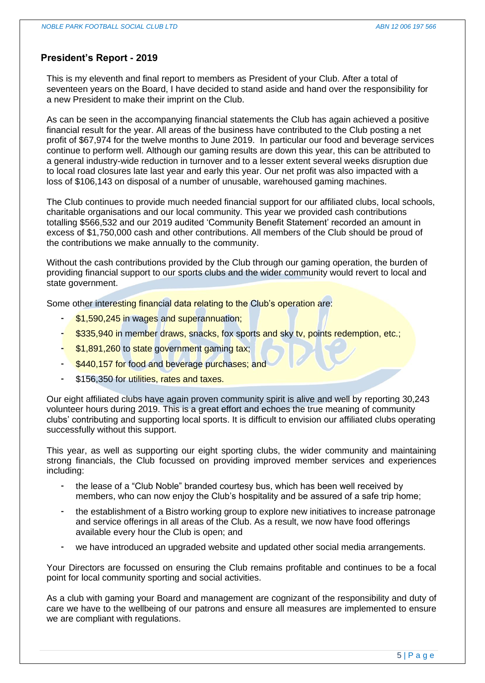# **President's Report - 2019**

This is my eleventh and final report to members as President of your Club. After a total of seventeen years on the Board, I have decided to stand aside and hand over the responsibility for a new President to make their imprint on the Club.

As can be seen in the accompanying financial statements the Club has again achieved a positive financial result for the year. All areas of the business have contributed to the Club posting a net profit of \$67,974 for the twelve months to June 2019. In particular our food and beverage services continue to perform well. Although our gaming results are down this year, this can be attributed to a general industry-wide reduction in turnover and to a lesser extent several weeks disruption due to local road closures late last year and early this year. Our net profit was also impacted with a loss of \$106,143 on disposal of a number of unusable, warehoused gaming machines.

The Club continues to provide much needed financial support for our affiliated clubs, local schools, charitable organisations and our local community. This year we provided cash contributions totalling \$566,532 and our 2019 audited 'Community Benefit Statement' recorded an amount in excess of \$1,750,000 cash and other contributions. All members of the Club should be proud of the contributions we make annually to the community.

Without the cash contributions provided by the Club through our gaming operation, the burden of providing financial support to our sports clubs and the wider community would revert to local and state government.

Some other interesting financial data relating to the Club's operation are:

- \$1,590,245 in wages and superannuation;
- \$335,940 in member draws, snacks, fox sports and sky tv, points redemption, etc.;
- \$1,891,260 to state government gaming tax;
- \$440,157 for food and beverage purchases; and
- \$156,350 for utilities, rates and taxes.

Our eight affiliated clubs have again proven community spirit is alive and well by reporting 30,243 volunteer hours during 2019. This is a great effort and echoes the true meaning of community clubs' contributing and supporting local sports. It is difficult to envision our affiliated clubs operating successfully without this support.

This year, as well as supporting our eight sporting clubs, the wider community and maintaining strong financials, the Club focussed on providing improved member services and experiences including:

- the lease of a "Club Noble" branded courtesy bus, which has been well received by members, who can now enjoy the Club's hospitality and be assured of a safe trip home;
- the establishment of a Bistro working group to explore new initiatives to increase patronage and service offerings in all areas of the Club. As a result, we now have food offerings available every hour the Club is open; and
- we have introduced an upgraded website and updated other social media arrangements.

Your Directors are focussed on ensuring the Club remains profitable and continues to be a focal point for local community sporting and social activities.

As a club with gaming your Board and management are cognizant of the responsibility and duty of care we have to the wellbeing of our patrons and ensure all measures are implemented to ensure we are compliant with regulations.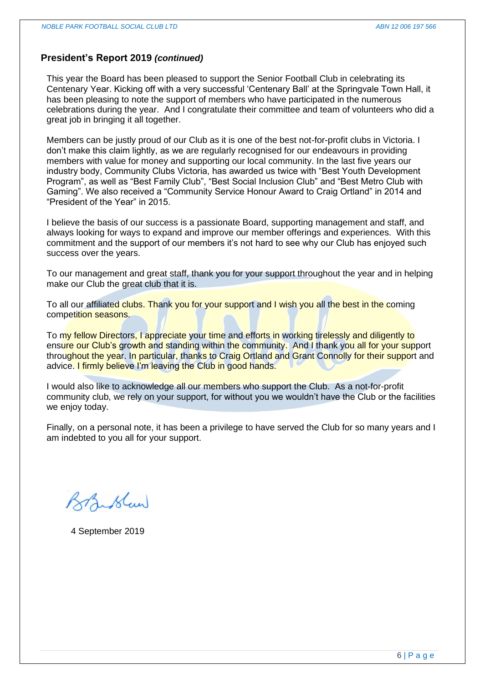## **President's Report 2019** *(continued)*

This year the Board has been pleased to support the Senior Football Club in celebrating its Centenary Year. Kicking off with a very successful 'Centenary Ball' at the Springvale Town Hall, it has been pleasing to note the support of members who have participated in the numerous celebrations during the year. And I congratulate their committee and team of volunteers who did a great job in bringing it all together.

Members can be justly proud of our Club as it is one of the best not-for-profit clubs in Victoria. I don't make this claim lightly, as we are regularly recognised for our endeavours in providing members with value for money and supporting our local community. In the last five years our industry body, Community Clubs Victoria, has awarded us twice with "Best Youth Development Program", as well as "Best Family Club", "Best Social Inclusion Club" and "Best Metro Club with Gaming". We also received a "Community Service Honour Award to Craig Ortland" in 2014 and "President of the Year" in 2015.

I believe the basis of our success is a passionate Board, supporting management and staff, and always looking for ways to expand and improve our member offerings and experiences. With this commitment and the support of our members it's not hard to see why our Club has enjoyed such success over the years.

To our management and great staff, thank you for your support throughout the year and in helping make our Club the great club that it is.

To all our affiliated clubs. Thank you for your support and I wish you all the best in the coming competition seasons.

To my fellow Directors, I appreciate your time and efforts in working tirelessly and diligently to ensure our Club's growth and standing within the community. And I thank you all for your support throughout the year. In particular, thanks to Craig Ortland and Grant Connolly for their support and advice. I firmly believe I'm leaving the Club in good hands.

I would also like to acknowledge all our members who support the Club. As a not-for-profit community club, we rely on your support, for without you we wouldn't have the Club or the facilities we enjoy today.

Finally, on a personal note, it has been a privilege to have served the Club for so many years and I am indebted to you all for your support.

Branslaw

4 September 2019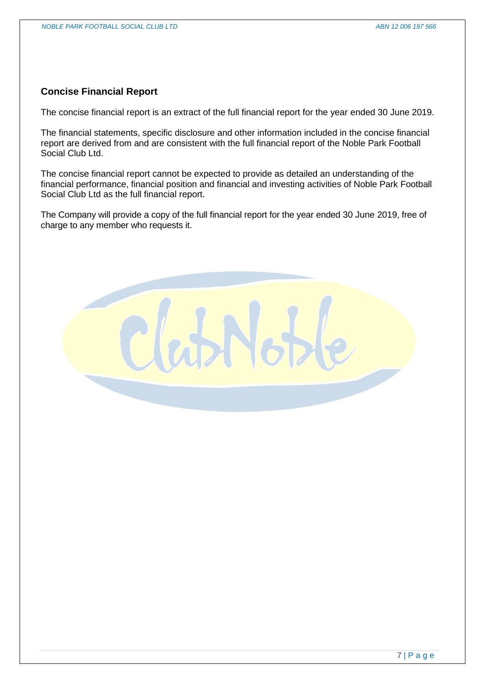# **Concise Financial Report**

The concise financial report is an extract of the full financial report for the year ended 30 June 2019.

The financial statements, specific disclosure and other information included in the concise financial report are derived from and are consistent with the full financial report of the Noble Park Football Social Club Ltd.

The concise financial report cannot be expected to provide as detailed an understanding of the financial performance, financial position and financial and investing activities of Noble Park Football Social Club Ltd as the full financial report.

The Company will provide a copy of the full financial report for the year ended 30 June 2019, free of charge to any member who requests it.

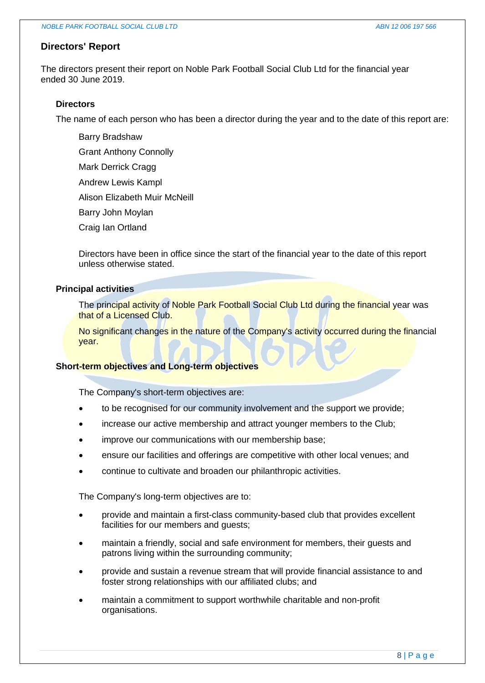## **Directors' Report**

The directors present their report on Noble Park Football Social Club Ltd for the financial year ended 30 June 2019.

## **Directors**

The name of each person who has been a director during the year and to the date of this report are:

- Barry Bradshaw
- Grant Anthony Connolly
- Mark Derrick Cragg
- Andrew Lewis Kampl
- Alison Elizabeth Muir McNeill
- Barry John Moylan
- Craig Ian Ortland

Directors have been in office since the start of the financial year to the date of this report unless otherwise stated.

### **Principal activities**

The principal activity of Noble Park Football Social Club Ltd during the financial year was that of a Licensed Club.

No significant changes in the nature of the Company's activity occurred during the financial year.

# **Short-term objectives and Long-term objectives**

The Company's short-term objectives are:

- to be recognised for our community involvement and the support we provide;
- increase our active membership and attract younger members to the Club;
- improve our communications with our membership base;
- ensure our facilities and offerings are competitive with other local venues; and
- continue to cultivate and broaden our philanthropic activities.

The Company's long-term objectives are to:

- provide and maintain a first-class community-based club that provides excellent facilities for our members and guests;
- maintain a friendly, social and safe environment for members, their guests and patrons living within the surrounding community;
- provide and sustain a revenue stream that will provide financial assistance to and foster strong relationships with our affiliated clubs; and
- maintain a commitment to support worthwhile charitable and non-profit organisations.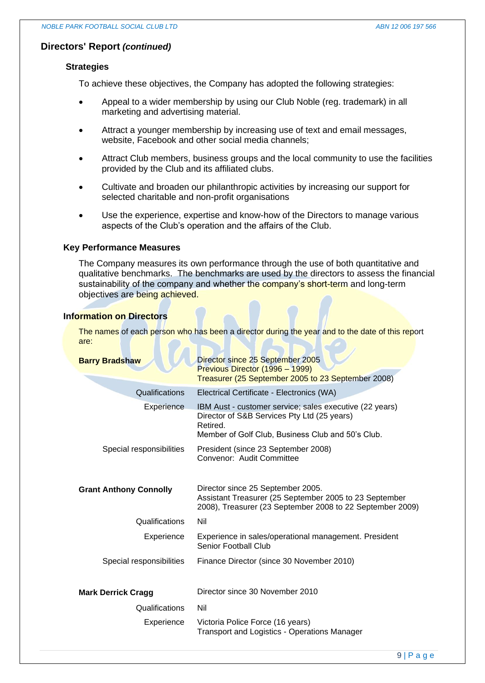## **Directors' Report** *(continued)*

## **Strategies**

To achieve these objectives, the Company has adopted the following strategies:

- Appeal to a wider membership by using our Club Noble (reg. trademark) in all marketing and advertising material.
- Attract a younger membership by increasing use of text and email messages, website, Facebook and other social media channels;
- Attract Club members, business groups and the local community to use the facilities provided by the Club and its affiliated clubs.
- Cultivate and broaden our philanthropic activities by increasing our support for selected charitable and non-profit organisations
- Use the experience, expertise and know-how of the Directors to manage various aspects of the Club's operation and the affairs of the Club.

## **Key Performance Measures**

The Company measures its own performance through the use of both quantitative and qualitative benchmarks. The benchmarks are used by the directors to assess the financial sustainability of the company and whether the company's short-term and long-term objectives are being achieved.

## **Information on Directors**

The names of each person who has been a director during the year and to the date of this report are:

| <b>Barry Bradshaw</b>         | Director since 25 September 2005<br>Previous Director (1996 - 1999)<br>Treasurer (25 September 2005 to 23 September 2008)                                               |
|-------------------------------|-------------------------------------------------------------------------------------------------------------------------------------------------------------------------|
| Qualifications                | Electrical Certificate - Electronics (WA)                                                                                                                               |
| <b>Experience</b>             | IBM Aust - customer service; sales executive (22 years)<br>Director of S&B Services Pty Ltd (25 years)<br>Retired.<br>Member of Golf Club, Business Club and 50's Club. |
| Special responsibilities      | President (since 23 September 2008)<br>Convenor: Audit Committee                                                                                                        |
| <b>Grant Anthony Connolly</b> | Director since 25 September 2005.<br>Assistant Treasurer (25 September 2005 to 23 September<br>2008), Treasurer (23 September 2008 to 22 September 2009)                |
| Qualifications                | Nil                                                                                                                                                                     |
| Experience                    | Experience in sales/operational management. President<br>Senior Football Club                                                                                           |
| Special responsibilities      | Finance Director (since 30 November 2010)                                                                                                                               |
| <b>Mark Derrick Cragg</b>     | Director since 30 November 2010                                                                                                                                         |
| Qualifications                | Nil                                                                                                                                                                     |
| Experience                    | Victoria Police Force (16 years)<br><b>Transport and Logistics - Operations Manager</b>                                                                                 |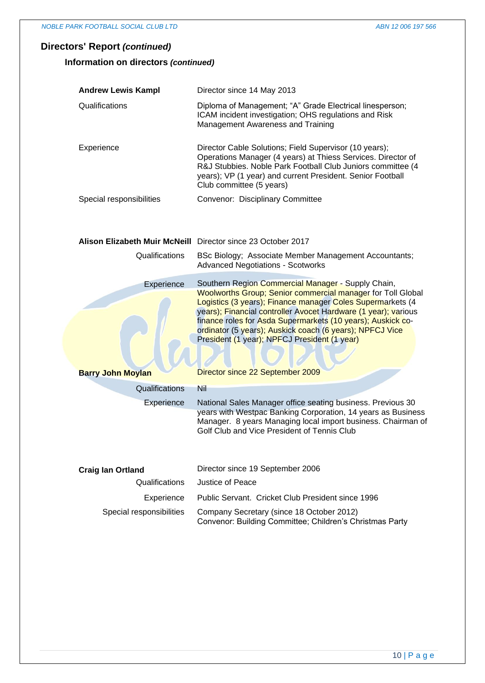# **Directors' Report** *(continued)*

## **Information on directors** *(continued)*

| <b>Andrew Lewis Kampl</b> | Director since 14 May 2013                                                                                                                                                                                                                                                      |
|---------------------------|---------------------------------------------------------------------------------------------------------------------------------------------------------------------------------------------------------------------------------------------------------------------------------|
| Qualifications            | Diploma of Management; "A" Grade Electrical linesperson;<br>ICAM incident investigation; OHS regulations and Risk<br>Management Awareness and Training                                                                                                                          |
| Experience                | Director Cable Solutions; Field Supervisor (10 years);<br>Operations Manager (4 years) at Thiess Services. Director of<br>R&J Stubbies. Noble Park Football Club Juniors committee (4<br>years); VP (1 year) and current President. Senior Football<br>Club committee (5 years) |
| Special responsibilities  | Convenor: Disciplinary Committee                                                                                                                                                                                                                                                |

# **Alison Elizabeth Muir McNeill** Director since 23 October 2017

| Qualifications                         | BSc Biology; Associate Member Management Accountants;<br><b>Advanced Negotiations - Scotworks</b>                                                                                                                                                                                                                                                                                                                                                                       |
|----------------------------------------|-------------------------------------------------------------------------------------------------------------------------------------------------------------------------------------------------------------------------------------------------------------------------------------------------------------------------------------------------------------------------------------------------------------------------------------------------------------------------|
| Experience<br><b>Barry John Moylan</b> | Southern Region Commercial Manager - Supply Chain,<br><b>Woolworths Group; Senior commercial manager for Toll Global</b><br>Logistics (3 years); Finance manager Coles Supermarkets (4<br>years); Financial controller Avocet Hardware (1 year); various<br>finance roles for Asda Supermarkets (10 years); Auskick co-<br>ordinator (5 years); Auskick coach (6 years); NPFCJ Vice<br>President (1 year); NPFCJ President (1 year)<br>Director since 22 September 2009 |
| Qualifications                         | Nil                                                                                                                                                                                                                                                                                                                                                                                                                                                                     |
| Experience                             | National Sales Manager office seating business. Previous 30                                                                                                                                                                                                                                                                                                                                                                                                             |
|                                        | years with Westpac Banking Corporation, 14 years as Business<br>Manager. 8 years Managing local import business. Chairman of<br>Golf Club and Vice President of Tennis Club                                                                                                                                                                                                                                                                                             |
| <b>Craig lan Ortland</b>               | Director since 19 September 2006                                                                                                                                                                                                                                                                                                                                                                                                                                        |
| Qualifications                         | Justice of Peace                                                                                                                                                                                                                                                                                                                                                                                                                                                        |
| Experience                             | Public Servant. Cricket Club President since 1996                                                                                                                                                                                                                                                                                                                                                                                                                       |

| __________               |                                                          |
|--------------------------|----------------------------------------------------------|
| Special responsibilities | Company Secretary (since 18 October 2012)                |
|                          | Convenor: Building Committee; Children's Christmas Party |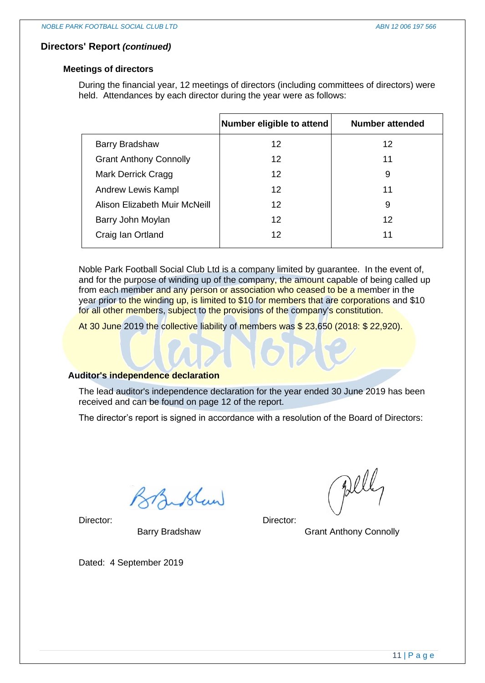## **Directors' Report** *(continued)*

## **Meetings of directors**

During the financial year, 12 meetings of directors (including committees of directors) were held. Attendances by each director during the year were as follows:

|                               | Number eligible to attend | <b>Number attended</b> |
|-------------------------------|---------------------------|------------------------|
| <b>Barry Bradshaw</b>         | 12                        | 12                     |
| <b>Grant Anthony Connolly</b> | 12                        | 11                     |
| Mark Derrick Cragg            | $12 \,$                   | 9                      |
| Andrew Lewis Kampl            | 12                        | 11                     |
| Alison Elizabeth Muir McNeill | 12                        | 9                      |
| Barry John Moylan             | $12 \,$                   | 12                     |
| Craig Ian Ortland             | 12                        | 11                     |
|                               |                           |                        |

Noble Park Football Social Club Ltd is a company limited by guarantee. In the event of, and for the purpose of winding up of the company, the amount capable of being called up from each member and any person or association who ceased to be a member in the year prior to the winding up, is limited to \$10 for members that are corporations and \$10 for all other members, subject to the provisions of the company's constitution.

At 30 June 2019 the collective liability of members was \$ 23,650 (2018: \$ 22,920).

# **Auditor's independence declaration**

The lead auditor's independence declaration for the year ended 30 June 2019 has been received and can be found on page 12 of the report.

The director's report is signed in accordance with a resolution of the Board of Directors:

Lislan

Director:

Barry Bradshaw

Dated: 4 September 2019

Dell

Director:

Grant Anthony Connolly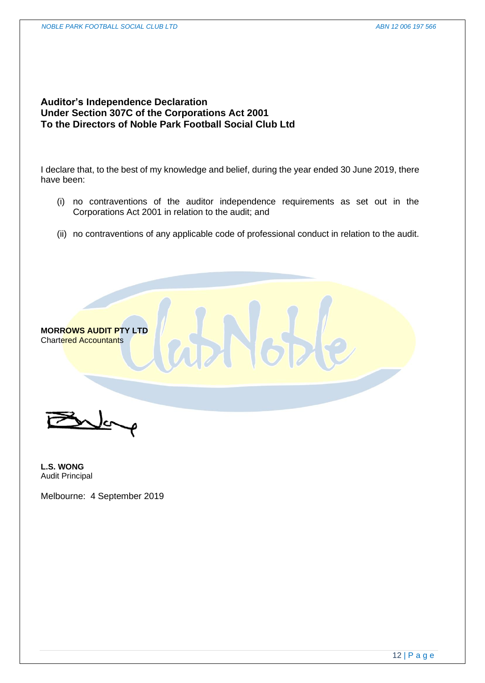# **Auditor's Independence Declaration Under Section 307C of the Corporations Act 2001 To the Directors of Noble Park Football Social Club Ltd**

I declare that, to the best of my knowledge and belief, during the year ended 30 June 2019, there have been:

- (i) no contraventions of the auditor independence requirements as set out in the Corporations Act 2001 in relation to the audit; and
- (ii) no contraventions of any applicable code of professional conduct in relation to the audit.



**MORROWS AUDIT PTY LTD** Chartered Accountants

**L.S. WONG** Audit Principal

Melbourne: 4 September 2019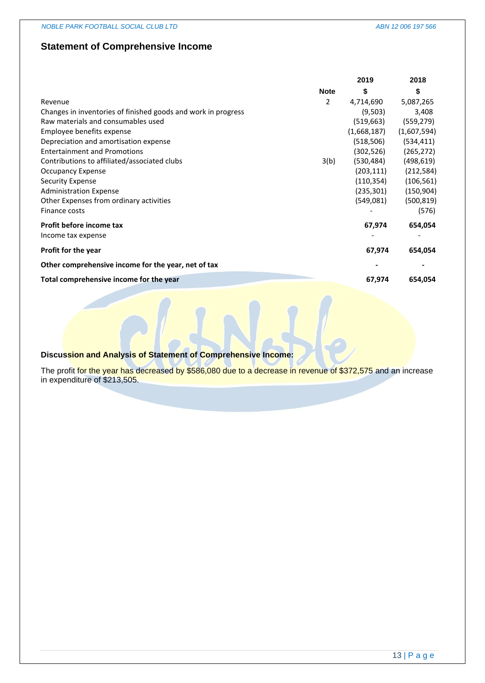# **Statement of Comprehensive Income**

|                                                               |             | 2019        | 2018        |
|---------------------------------------------------------------|-------------|-------------|-------------|
|                                                               | <b>Note</b> | \$          | \$          |
| Revenue                                                       | 2           | 4,714,690   | 5,087,265   |
| Changes in inventories of finished goods and work in progress |             | (9,503)     | 3,408       |
| Raw materials and consumables used                            |             | (519, 663)  | (559, 279)  |
| Employee benefits expense                                     |             | (1,668,187) | (1,607,594) |
| Depreciation and amortisation expense                         |             | (518,506)   | (534, 411)  |
| <b>Entertainment and Promotions</b>                           |             | (302, 526)  | (265, 272)  |
| Contributions to affiliated/associated clubs                  | 3(b)        | (530, 484)  | (498, 619)  |
| <b>Occupancy Expense</b>                                      |             | (203, 111)  | (212, 584)  |
| <b>Security Expense</b>                                       |             | (110, 354)  | (106, 561)  |
| <b>Administration Expense</b>                                 |             | (235, 301)  | (150, 904)  |
| Other Expenses from ordinary activities                       |             | (549,081)   | (500, 819)  |
| Finance costs                                                 |             |             | (576)       |
| Profit before income tax                                      |             | 67,974      | 654,054     |
| Income tax expense                                            |             |             |             |
| <b>Profit for the year</b>                                    |             | 67,974      | 654,054     |
| Other comprehensive income for the year, net of tax           |             |             |             |
| Total comprehensive income for the year                       |             | 67,974      | 654,054     |
|                                                               |             |             |             |

# **Discussion and Analysis of Statement of Comprehensive Income:**

The profit for the year has decreased by \$586,080 due to a decrease in revenue of \$372,575 and an increase in expenditure of \$213,505.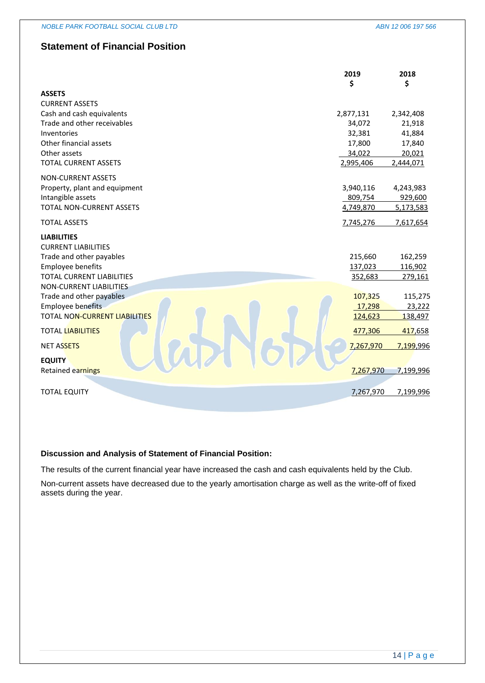# **Statement of Financial Position**

|                                      | 2019<br>\$ | 2018<br>\$ |
|--------------------------------------|------------|------------|
| <b>ASSETS</b>                        |            |            |
| <b>CURRENT ASSETS</b>                |            |            |
| Cash and cash equivalents            | 2,877,131  | 2,342,408  |
| Trade and other receivables          | 34,072     | 21,918     |
| Inventories                          | 32,381     | 41,884     |
| Other financial assets               | 17,800     | 17,840     |
| Other assets                         | 34,022     | 20,021     |
| <b>TOTAL CURRENT ASSETS</b>          | 2,995,406  | 2,444,071  |
| <b>NON-CURRENT ASSETS</b>            |            |            |
| Property, plant and equipment        | 3,940,116  | 4,243,983  |
| Intangible assets                    | 809,754    | 929,600    |
| TOTAL NON-CURRENT ASSETS             | 4,749,870  | 5,173,583  |
| <b>TOTAL ASSETS</b>                  | 7,745,276  | 7,617,654  |
| <b>LIABILITIES</b>                   |            |            |
| <b>CURRENT LIABILITIES</b>           |            |            |
| Trade and other payables             | 215,660    | 162,259    |
| <b>Employee benefits</b>             | 137,023    | 116,902    |
| <b>TOTAL CURRENT LIABILITIES</b>     | 352,683    | 279,161    |
| <b>NON-CURRENT LIABILITIES</b>       |            |            |
| Trade and other payables             | 107,325    | 115,275    |
| <b>Employee benefits</b>             | 17,298     | 23,222     |
| <b>TOTAL NON-CURRENT LIABILITIES</b> | 124,623    | 138,497    |
| <b>TOTAL LIABILITIES</b>             | 477,306    | 417,658    |
| <b>NET ASSETS</b>                    | 7,267,970  | 7,199,996  |
| <b>EQUITY</b>                        |            |            |
| Retained earnings                    | 7,267,970  | 7,199,996  |
|                                      |            |            |
| <b>TOTAL EQUITY</b>                  | 7,267,970  | 7,199,996  |

#### **Discussion and Analysis of Statement of Financial Position:**

The results of the current financial year have increased the cash and cash equivalents held by the Club.

Non-current assets have decreased due to the yearly amortisation charge as well as the write-off of fixed assets during the year.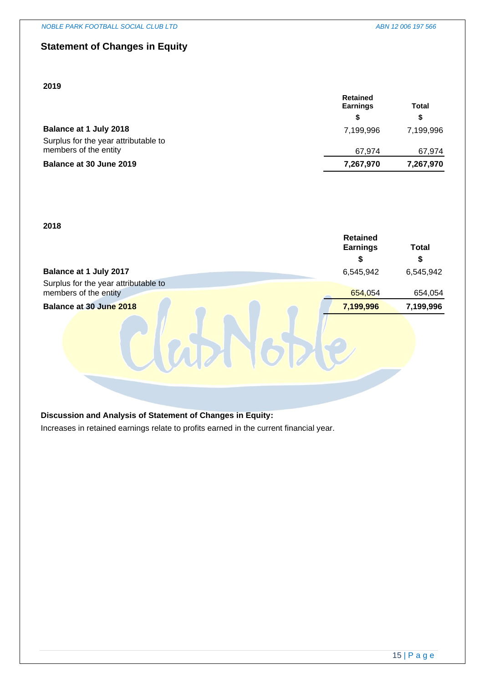# **Statement of Changes in Equity**

## **2019**

| <b>Earnings</b> |           |
|-----------------|-----------|
| \$              | S.        |
| 7.199.996       | 7.199.996 |
|                 |           |
| 67.974          | 67,974    |
| 7,267,970       | 7,267,970 |
|                 | Retained  |

#### **2018**

|                                                               | <b>Retained</b><br><b>Earnings</b> | <b>Total</b> |
|---------------------------------------------------------------|------------------------------------|--------------|
|                                                               | S                                  |              |
| Balance at 1 July 2017                                        | 6,545,942                          | 6,545,942    |
| Surplus for the year attributable to<br>members of the entity | 654,054                            | 654,054      |
| Balance at 30 June 2018                                       | 7,199,996                          | 7,199,996    |
|                                                               |                                    |              |
|                                                               |                                    |              |

## **Discussion and Analysis of Statement of Changes in Equity:**

Increases in retained earnings relate to profits earned in the current financial year.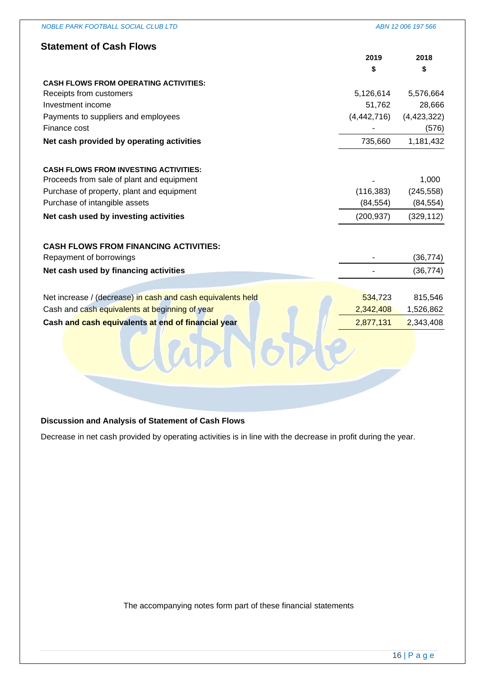| <b>NOBLE PARK FOOTBALL SOCIAL CLUB LTD</b>                  |               | ABN 12 006 197 566 |
|-------------------------------------------------------------|---------------|--------------------|
| <b>Statement of Cash Flows</b>                              |               |                    |
|                                                             | 2019          | 2018               |
|                                                             | \$            | \$                 |
| <b>CASH FLOWS FROM OPERATING ACTIVITIES:</b>                |               |                    |
| Receipts from customers                                     | 5,126,614     | 5,576,664          |
| Investment income                                           | 51,762        | 28,666             |
| Payments to suppliers and employees                         | (4, 442, 716) | (4, 423, 322)      |
| Finance cost                                                |               | (576)              |
| Net cash provided by operating activities                   | 735,660       | 1,181,432          |
|                                                             |               |                    |
| <b>CASH FLOWS FROM INVESTING ACTIVITIES:</b>                |               |                    |
| Proceeds from sale of plant and equipment                   |               | 1,000              |
| Purchase of property, plant and equipment                   | (116, 383)    | (245, 558)         |
| Purchase of intangible assets                               | (84, 554)     | (84, 554)          |
| Net cash used by investing activities                       | (200, 937)    | (329, 112)         |
|                                                             |               |                    |
| <b>CASH FLOWS FROM FINANCING ACTIVITIES:</b>                |               |                    |
| Repayment of borrowings                                     |               | (36, 774)          |
| Net cash used by financing activities                       |               | (36, 774)          |
|                                                             |               |                    |
| Net increase / (decrease) in cash and cash equivalents held | 534,723       | 815,546            |
| Cash and cash equivalents at beginning of year              | 2,342,408     | 1,526,862          |
|                                                             |               |                    |
| Cash and cash equivalents at end of financial year          | 2,877,131     | 2,343,408          |
|                                                             |               |                    |
|                                                             |               |                    |
|                                                             |               |                    |
|                                                             |               |                    |

# **Discussion and Analysis of Statement of Cash Flows**

Decrease in net cash provided by operating activities is in line with the decrease in profit during the year.

The accompanying notes form part of these financial statements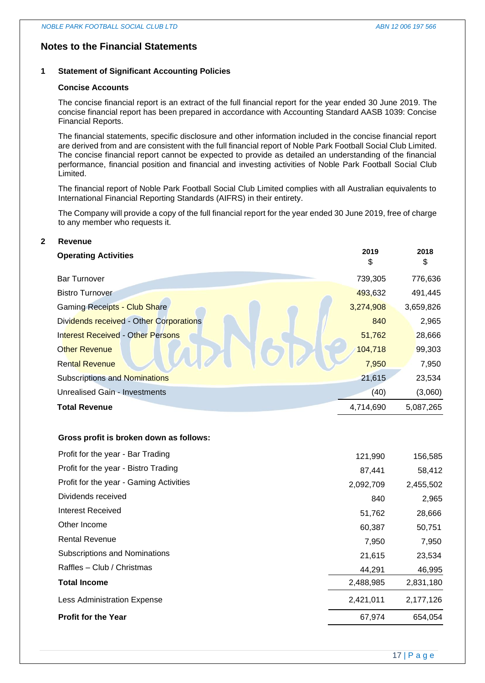# **Notes to the Financial Statements**

#### **1 Statement of Significant Accounting Policies**

#### **Concise Accounts**

The concise financial report is an extract of the full financial report for the year ended 30 June 2019. The concise financial report has been prepared in accordance with Accounting Standard AASB 1039: Concise Financial Reports.

The financial statements, specific disclosure and other information included in the concise financial report are derived from and are consistent with the full financial report of Noble Park Football Social Club Limited. The concise financial report cannot be expected to provide as detailed an understanding of the financial performance, financial position and financial and investing activities of Noble Park Football Social Club Limited.

The financial report of Noble Park Football Social Club Limited complies with all Australian equivalents to International Financial Reporting Standards (AIFRS) in their entirety.

The Company will provide a copy of the full financial report for the year ended 30 June 2019, free of charge to any member who requests it.

# **2 Revenue Operating Activities <sup>2019</sup>** \$ **2018** \$ Bar Turnover 739,305 776,636 Bistro Turnover 493,632 491,445 Gaming Receipts - Club Share 3,659,826 Dividends received - Other Corporations **840** 2,965 Interest Received - Other Persons 51,762 28,666 Other Revenue 104,000 104,718 99,303 Rental Revenue 1,950 7,950 7,950 7,950 Subscriptions and Nominations 21,615 23,534 Unrealised Gain - Investments (40) (3,060) **Total Revenue** 4,714,690 5,087,265

#### **Gross profit is broken down as follows:**

| Profit for the year - Bar Trading       | 121,990   | 156,585   |
|-----------------------------------------|-----------|-----------|
| Profit for the year - Bistro Trading    | 87,441    | 58,412    |
| Profit for the year - Gaming Activities | 2,092,709 | 2,455,502 |
| Dividends received                      | 840       | 2,965     |
| Interest Received                       | 51,762    | 28,666    |
| Other Income                            | 60,387    | 50,751    |
| <b>Rental Revenue</b>                   | 7,950     | 7,950     |
| Subscriptions and Nominations           | 21,615    | 23,534    |
| Raffles - Club / Christmas              | 44,291    | 46,995    |
| <b>Total Income</b>                     | 2,488,985 | 2,831,180 |
| <b>Less Administration Expense</b>      | 2,421,011 | 2,177,126 |
| <b>Profit for the Year</b>              | 67,974    | 654,054   |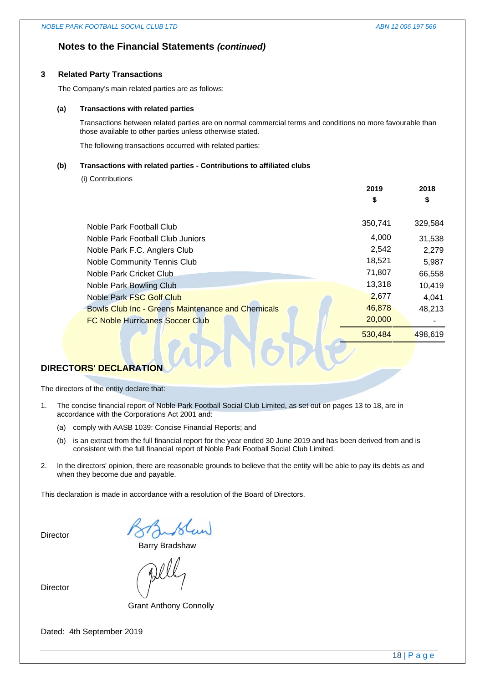**2019**

**2018**

## **Notes to the Financial Statements** *(continued)*

#### **3 Related Party Transactions**

The Company's main related parties are as follows:

#### **(a) Transactions with related parties**

Transactions between related parties are on normal commercial terms and conditions no more favourable than those available to other parties unless otherwise stated.

The following transactions occurred with related parties:

#### **(b) Transactions with related parties - Contributions to affiliated clubs**

(i) Contributions

|                                                          | \$      | \$      |
|----------------------------------------------------------|---------|---------|
| Noble Park Football Club                                 | 350,741 | 329,584 |
| Noble Park Football Club Juniors                         | 4,000   | 31,538  |
| Noble Park F.C. Anglers Club                             | 2,542   | 2,279   |
| Noble Community Tennis Club                              | 18,521  | 5,987   |
| Noble Park Cricket Club.                                 | 71,807  | 66,558  |
| Noble Park Bowling Club                                  | 13,318  | 10,419  |
| Noble Park FSC Golf Club                                 | 2,677   | 4,041   |
| <b>Bowls Club Inc - Greens Maintenance and Chemicals</b> | 46,878  | 48,213  |
| <b>FC Noble Hurricanes Soccer Club</b>                   | 20,000  |         |
|                                                          | 530,484 | 498.619 |

# **DIRECTORS' DECLARATION**

The directors of the entity declare that:

- 1. The concise financial report of Noble Park Football Social Club Limited, as set out on pages 13 to 18, are in accordance with the Corporations Act 2001 and:
	- (a) comply with AASB 1039: Concise Financial Reports; and
	- (b) is an extract from the full financial report for the year ended 30 June 2019 and has been derived from and is consistent with the full financial report of Noble Park Football Social Club Limited.
- 2. In the directors' opinion, there are reasonable grounds to believe that the entity will be able to pay its debts as and when they become due and payable.

This declaration is made in accordance with a resolution of the Board of Directors.

**Director** 

Barry Bradshaw

Director

Grant Anthony Connolly

Dated: 4th September 2019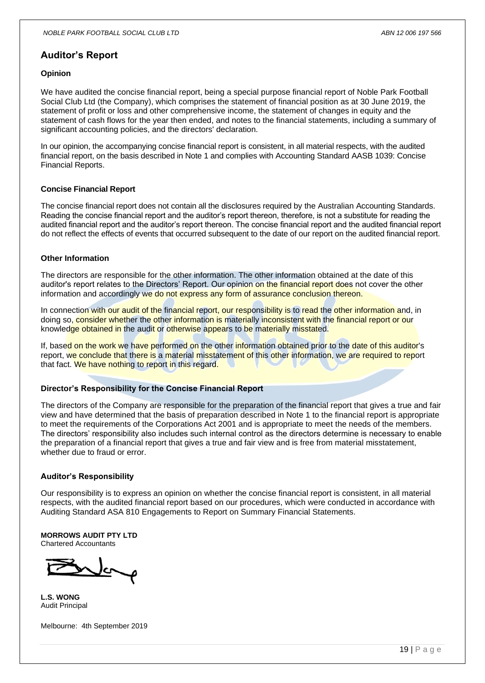## **Auditor's Report**

#### **Opinion**

We have audited the concise financial report, being a special purpose financial report of Noble Park Football Social Club Ltd (the Company), which comprises the statement of financial position as at 30 June 2019, the statement of profit or loss and other comprehensive income, the statement of changes in equity and the statement of cash flows for the year then ended, and notes to the financial statements, including a summary of significant accounting policies, and the directors' declaration.

In our opinion, the accompanying concise financial report is consistent, in all material respects, with the audited financial report, on the basis described in Note 1 and complies with Accounting Standard AASB 1039: Concise Financial Reports.

#### **Concise Financial Report**

The concise financial report does not contain all the disclosures required by the Australian Accounting Standards. Reading the concise financial report and the auditor's report thereon, therefore, is not a substitute for reading the audited financial report and the auditor's report thereon. The concise financial report and the audited financial report do not reflect the effects of events that occurred subsequent to the date of our report on the audited financial report.

#### **Other Information**

The directors are responsible for the other information. The other information obtained at the date of this auditor's report relates to the Directors' Report. Our opinion on the financial report does not cover the other information and accordingly we do not express any form of assurance conclusion thereon.

In connection with our audit of the financial report, our responsibility is to read the other information and, in doing so, consider whether the other information is materially inconsistent with the financial report or our knowledge obtained in the audit or otherwise appears to be materially misstated.

If, based on the work we have performed on the other information obtained prior to the date of this auditor's report, we conclude that there is a material misstatement of this other information, we are required to report that fact. We have nothing to report in this regard.

#### **Director's Responsibility for the Concise Financial Report**

The directors of the Company are responsible for the preparation of the financial report that gives a true and fair view and have determined that the basis of preparation described in Note 1 to the financial report is appropriate to meet the requirements of the Corporations Act 2001 and is appropriate to meet the needs of the members. The directors' responsibility also includes such internal control as the directors determine is necessary to enable the preparation of a financial report that gives a true and fair view and is free from material misstatement, whether due to fraud or error.

#### **Auditor's Responsibility**

Our responsibility is to express an opinion on whether the concise financial report is consistent, in all material respects, with the audited financial report based on our procedures, which were conducted in accordance with Auditing Standard ASA 810 Engagements to Report on Summary Financial Statements.

#### **MORROWS AUDIT PTY LTD**

Chartered Accountants

**L.S. WONG** Audit Principal

Melbourne: 4th September 2019